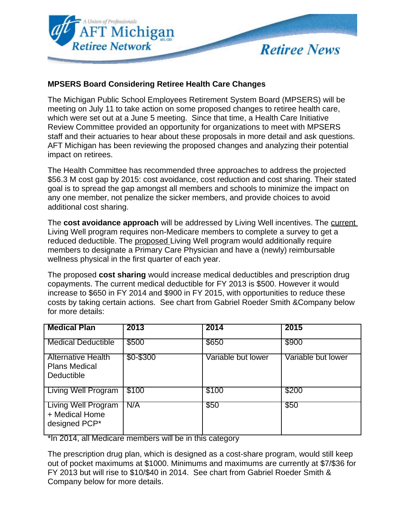

## **MPSERS Board Considering Retiree Health Care Changes**

The Michigan Public School Employees Retirement System Board (MPSERS) will be meeting on July 11 to take action on some proposed changes to retiree health care, which were set out at a June 5 meeting. Since that time, a Health Care Initiative Review Committee provided an opportunity for organizations to meet with MPSERS staff and their actuaries to hear about these proposals in more detail and ask questions. AFT Michigan has been reviewing the proposed changes and analyzing their potential impact on retirees.

The Health Committee has recommended three approaches to address the projected \$56.3 M cost gap by 2015: cost avoidance, cost reduction and cost sharing. Their stated goal is to spread the gap amongst all members and schools to minimize the impact on any one member, not penalize the sicker members, and provide choices to avoid additional cost sharing.

The **cost avoidance approach** will be addressed by Living Well incentives. The current Living Well program requires non-Medicare members to complete a survey to get a reduced deductible. The proposed Living Well program would additionally require members to designate a Primary Care Physician and have a (newly) reimbursable wellness physical in the first quarter of each year.

The proposed **cost sharing** would increase medical deductibles and prescription drug copayments. The current medical deductible for FY 2013 is \$500. However it would increase to \$650 in FY 2014 and \$900 in FY 2015, with opportunities to reduce these costs by taking certain actions. See chart from Gabriel Roeder Smith &Company below for more details:

| <b>Medical Plan</b>                                             | 2013        | 2014               | 2015               |
|-----------------------------------------------------------------|-------------|--------------------|--------------------|
| <b>Medical Deductible</b>                                       | \$500       | \$650              | \$900              |
| <b>Alternative Health</b><br><b>Plans Medical</b><br>Deductible | $$0 - $300$ | Variable but lower | Variable but lower |
| <b>Living Well Program</b>                                      | \$100       | \$100              | \$200              |
| <b>Living Well Program</b><br>+ Medical Home<br>designed PCP*   | N/A         | \$50               | \$50               |

\*In 2014, all Medicare members will be in this category

The prescription drug plan, which is designed as a cost-share program, would still keep out of pocket maximums at \$1000. Minimums and maximums are currently at \$7/\$36 for FY 2013 but will rise to \$10/\$40 in 2014. See chart from Gabriel Roeder Smith & Company below for more details.